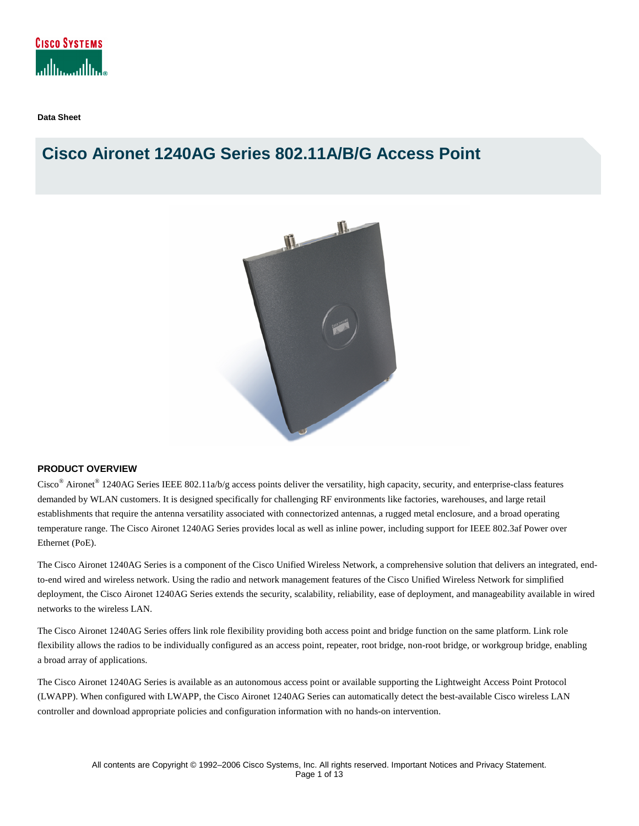

**Data Sheet** 

# **Cisco Aironet 1240AG Series 802.11A/B/G Access Point**



## **PRODUCT OVERVIEW**

Cisco<sup>®</sup> Aironet<sup>®</sup> 1240AG Series IEEE 802.11a/b/g access points deliver the versatility, high capacity, security, and enterprise-class features demanded by WLAN customers. It is designed specifically for challenging RF environments like factories, warehouses, and large retail establishments that require the antenna versatility associated with connectorized antennas, a rugged metal enclosure, and a broad operating temperature range. The Cisco Aironet 1240AG Series provides local as well as inline power, including support for IEEE 802.3af Power over Ethernet (PoE).

The Cisco Aironet 1240AG Series is a component of the Cisco Unified Wireless Network, a comprehensive solution that delivers an integrated, endto-end wired and wireless network. Using the radio and network management features of the Cisco Unified Wireless Network for simplified deployment, the Cisco Aironet 1240AG Series extends the security, scalability, reliability, ease of deployment, and manageability available in wired networks to the wireless LAN.

The Cisco Aironet 1240AG Series offers link role flexibility providing both access point and bridge function on the same platform. Link role flexibility allows the radios to be individually configured as an access point, repeater, root bridge, non-root bridge, or workgroup bridge, enabling a broad array of applications.

The Cisco Aironet 1240AG Series is available as an autonomous access point or available supporting the Lightweight Access Point Protocol (LWAPP). When configured with LWAPP, the Cisco Aironet 1240AG Series can automatically detect the best-available Cisco wireless LAN controller and download appropriate policies and configuration information with no hands-on intervention.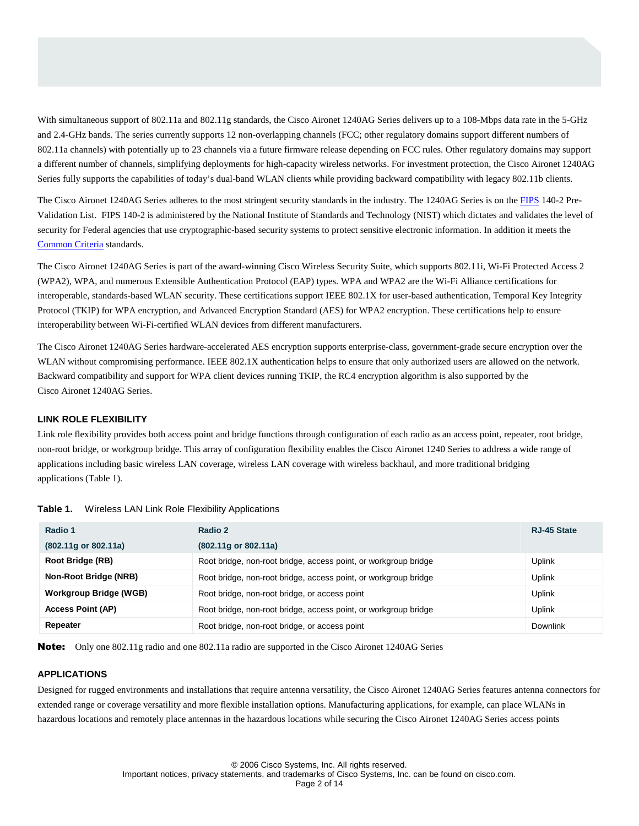With simultaneous support of 802.11a and 802.11g standards, the Cisco Aironet 1240AG Series delivers up to a 108-Mbps data rate in the 5-GHz and 2.4-GHz bands. The series currently supports 12 non-overlapping channels (FCC; other regulatory domains support different numbers of 802.11a channels) with potentially up to 23 channels via a future firmware release depending on FCC rules. Other regulatory domains may support a different number of channels, simplifying deployments for high-capacity wireless networks. For investment protection, the Cisco Aironet 1240AG Series fully supports the capabilities of today's dual-band WLAN clients while providing backward compatibility with legacy 802.11b clients.

The Cisco Aironet 1240AG Series adheres to the most stringent security standards in the industry. The 1240AG Series is on the [FIPS](http://csrc.nist.gov/cryptval/140PreVal.pdf) 140-2 Pre-Validation List. FIPS 140-2 is administered by the National Institute of Standards and Technology (NIST) which dictates and validates the level of security for Federal agencies that use cryptographic-based security systems to protect sensitive electronic information. In addition it meets the [Common Criteria](http://www.commoncriteriaportal.org/) standards.

The Cisco Aironet 1240AG Series is part of the award-winning Cisco Wireless Security Suite, which supports 802.11i, Wi-Fi Protected Access 2 (WPA2), WPA, and numerous Extensible Authentication Protocol (EAP) types. WPA and WPA2 are the Wi-Fi Alliance certifications for interoperable, standards-based WLAN security. These certifications support IEEE 802.1X for user-based authentication, Temporal Key Integrity Protocol (TKIP) for WPA encryption, and Advanced Encryption Standard (AES) for WPA2 encryption. These certifications help to ensure interoperability between Wi-Fi-certified WLAN devices from different manufacturers.

The Cisco Aironet 1240AG Series hardware-accelerated AES encryption supports enterprise-class, government-grade secure encryption over the WLAN without compromising performance. IEEE 802.1X authentication helps to ensure that only authorized users are allowed on the network. Backward compatibility and support for WPA client devices running TKIP, the RC4 encryption algorithm is also supported by the Cisco Aironet 1240AG Series.

## **LINK ROLE FLEXIBILITY**

Link role flexibility provides both access point and bridge functions through configuration of each radio as an access point, repeater, root bridge, non-root bridge, or workgroup bridge. This array of configuration flexibility enables the Cisco Aironet 1240 Series to address a wide range of applications including basic wireless LAN coverage, wireless LAN coverage with wireless backhaul, and more traditional bridging applications (Table 1).

| Radio 1                       | Radio 2                                                         | RJ-45 State     |
|-------------------------------|-----------------------------------------------------------------|-----------------|
| (802.11g or 802.11a)          | $(802.11q \text{ or } 802.11a)$                                 |                 |
| Root Bridge (RB)              | Root bridge, non-root bridge, access point, or workgroup bridge | Uplink          |
| Non-Root Bridge (NRB)         | Root bridge, non-root bridge, access point, or workgroup bridge | Uplink          |
| <b>Workgroup Bridge (WGB)</b> | Root bridge, non-root bridge, or access point                   | <b>Uplink</b>   |
| <b>Access Point (AP)</b>      | Root bridge, non-root bridge, access point, or workgroup bridge | Uplink          |
| Repeater                      | Root bridge, non-root bridge, or access point                   | <b>Downlink</b> |

#### **Table 1.** Wireless LAN Link Role Flexibility Applications

Note: Only one 802.11g radio and one 802.11a radio are supported in the Cisco Aironet 1240AG Series

#### **APPLICATIONS**

Designed for rugged environments and installations that require antenna versatility, the Cisco Aironet 1240AG Series features antenna connectors for extended range or coverage versatility and more flexible installation options. Manufacturing applications, for example, can place WLANs in hazardous locations and remotely place antennas in the hazardous locations while securing the Cisco Aironet 1240AG Series access points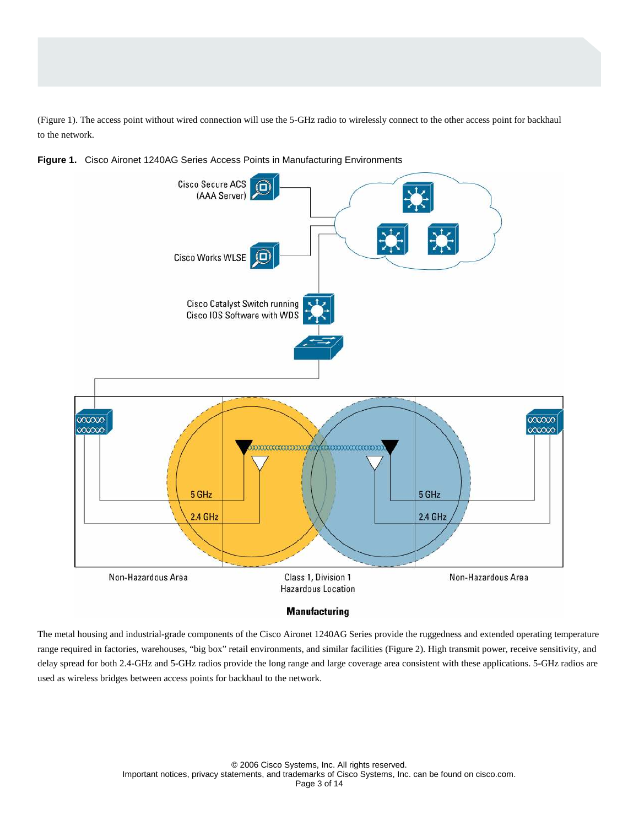(Figure 1). The access point without wired connection will use the 5-GHz radio to wirelessly connect to the other access point for backhaul to the network.





#### **Manufacturing**

The metal housing and industrial-grade components of the Cisco Aironet 1240AG Series provide the ruggedness and extended operating temperature range required in factories, warehouses, "big box" retail environments, and similar facilities (Figure 2). High transmit power, receive sensitivity, and delay spread for both 2.4-GHz and 5-GHz radios provide the long range and large coverage area consistent with these applications. 5-GHz radios are used as wireless bridges between access points for backhaul to the network.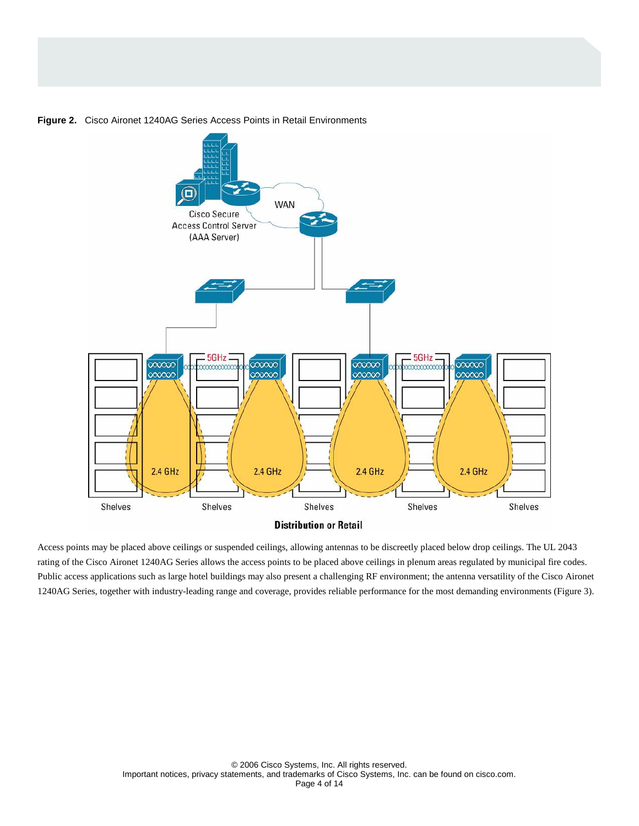

**Figure 2.** Cisco Aironet 1240AG Series Access Points in Retail Environments

Access points may be placed above ceilings or suspended ceilings, allowing antennas to be discreetly placed below drop ceilings. The UL 2043 rating of the Cisco Aironet 1240AG Series allows the access points to be placed above ceilings in plenum areas regulated by municipal fire codes. Public access applications such as large hotel buildings may also present a challenging RF environment; the antenna versatility of the Cisco Aironet 1240AG Series, together with industry-leading range and coverage, provides reliable performance for the most demanding environments (Figure 3).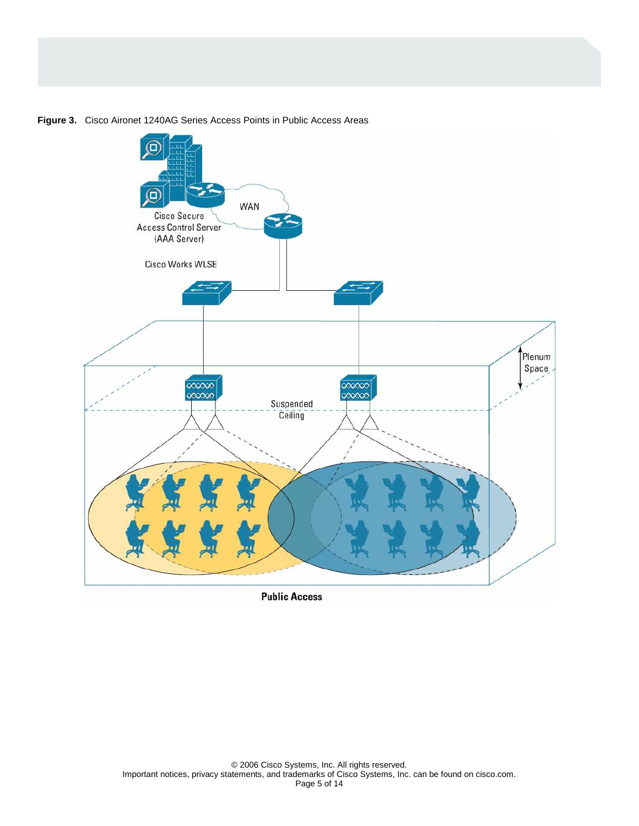

**Figure 3.** Cisco Aironet 1240AG Series Access Points in Public Access Areas

**Public Access**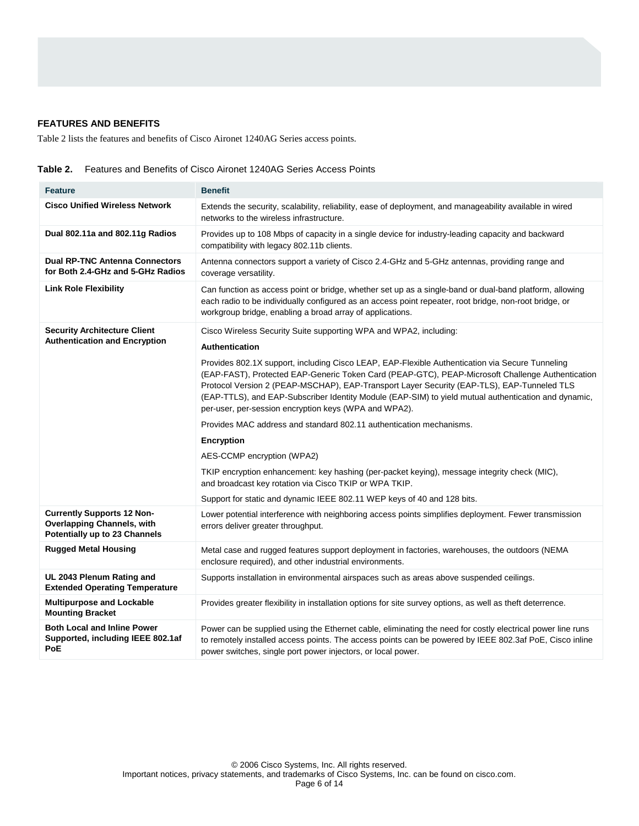# **FEATURES AND BENEFITS**

Table 2 lists the features and benefits of Cisco Aironet 1240AG Series access points.

|  | <b>Table 2.</b> Features and Benefits of Cisco Aironet 1240AG Series Access Points |  |  |
|--|------------------------------------------------------------------------------------|--|--|
|--|------------------------------------------------------------------------------------|--|--|

| <b>Feature</b>                                                                                          | <b>Benefit</b>                                                                                                                                                                                                                                                                                                                                                                                                                                                                                                                                                                                                                                                                                                                                                                                                                                                                                                           |
|---------------------------------------------------------------------------------------------------------|--------------------------------------------------------------------------------------------------------------------------------------------------------------------------------------------------------------------------------------------------------------------------------------------------------------------------------------------------------------------------------------------------------------------------------------------------------------------------------------------------------------------------------------------------------------------------------------------------------------------------------------------------------------------------------------------------------------------------------------------------------------------------------------------------------------------------------------------------------------------------------------------------------------------------|
| <b>Cisco Unified Wireless Network</b>                                                                   | Extends the security, scalability, reliability, ease of deployment, and manageability available in wired<br>networks to the wireless infrastructure.                                                                                                                                                                                                                                                                                                                                                                                                                                                                                                                                                                                                                                                                                                                                                                     |
| Dual 802.11a and 802.11g Radios                                                                         | Provides up to 108 Mbps of capacity in a single device for industry-leading capacity and backward<br>compatibility with legacy 802.11b clients.                                                                                                                                                                                                                                                                                                                                                                                                                                                                                                                                                                                                                                                                                                                                                                          |
| <b>Dual RP-TNC Antenna Connectors</b><br>for Both 2.4-GHz and 5-GHz Radios                              | Antenna connectors support a variety of Cisco 2.4-GHz and 5-GHz antennas, providing range and<br>coverage versatility.                                                                                                                                                                                                                                                                                                                                                                                                                                                                                                                                                                                                                                                                                                                                                                                                   |
| <b>Link Role Flexibility</b>                                                                            | Can function as access point or bridge, whether set up as a single-band or dual-band platform, allowing<br>each radio to be individually configured as an access point repeater, root bridge, non-root bridge, or<br>workgroup bridge, enabling a broad array of applications.                                                                                                                                                                                                                                                                                                                                                                                                                                                                                                                                                                                                                                           |
| <b>Security Architecture Client</b><br><b>Authentication and Encryption</b>                             | Cisco Wireless Security Suite supporting WPA and WPA2, including:<br>Authentication<br>Provides 802.1X support, including Cisco LEAP, EAP-Flexible Authentication via Secure Tunneling<br>(EAP-FAST), Protected EAP-Generic Token Card (PEAP-GTC), PEAP-Microsoft Challenge Authentication<br>Protocol Version 2 (PEAP-MSCHAP), EAP-Transport Layer Security (EAP-TLS), EAP-Tunneled TLS<br>(EAP-TTLS), and EAP-Subscriber Identity Module (EAP-SIM) to yield mutual authentication and dynamic,<br>per-user, per-session encryption keys (WPA and WPA2).<br>Provides MAC address and standard 802.11 authentication mechanisms.<br><b>Encryption</b><br>AES-CCMP encryption (WPA2)<br>TKIP encryption enhancement: key hashing (per-packet keying), message integrity check (MIC),<br>and broadcast key rotation via Cisco TKIP or WPA TKIP.<br>Support for static and dynamic IEEE 802.11 WEP keys of 40 and 128 bits. |
| <b>Currently Supports 12 Non-</b><br><b>Overlapping Channels, with</b><br>Potentially up to 23 Channels | Lower potential interference with neighboring access points simplifies deployment. Fewer transmission<br>errors deliver greater throughput.                                                                                                                                                                                                                                                                                                                                                                                                                                                                                                                                                                                                                                                                                                                                                                              |
| <b>Rugged Metal Housing</b>                                                                             | Metal case and rugged features support deployment in factories, warehouses, the outdoors (NEMA<br>enclosure required), and other industrial environments.                                                                                                                                                                                                                                                                                                                                                                                                                                                                                                                                                                                                                                                                                                                                                                |
| UL 2043 Plenum Rating and<br><b>Extended Operating Temperature</b>                                      | Supports installation in environmental airspaces such as areas above suspended ceilings.                                                                                                                                                                                                                                                                                                                                                                                                                                                                                                                                                                                                                                                                                                                                                                                                                                 |
| <b>Multipurpose and Lockable</b><br><b>Mounting Bracket</b>                                             | Provides greater flexibility in installation options for site survey options, as well as theft deterrence.                                                                                                                                                                                                                                                                                                                                                                                                                                                                                                                                                                                                                                                                                                                                                                                                               |
| <b>Both Local and Inline Power</b><br>Supported, including IEEE 802.1af<br>PoE                          | Power can be supplied using the Ethernet cable, eliminating the need for costly electrical power line runs<br>to remotely installed access points. The access points can be powered by IEEE 802.3af PoE, Cisco inline<br>power switches, single port power injectors, or local power.                                                                                                                                                                                                                                                                                                                                                                                                                                                                                                                                                                                                                                    |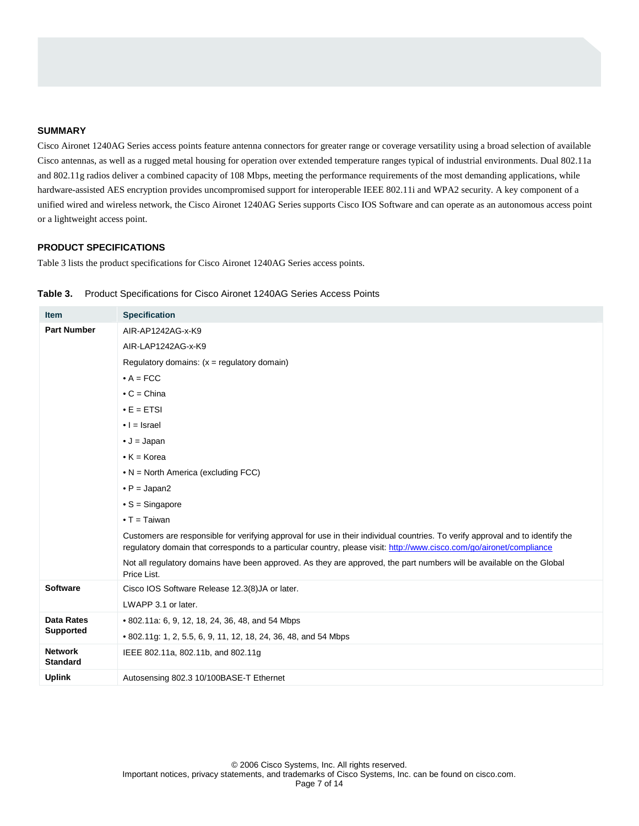### **SUMMARY**

Cisco Aironet 1240AG Series access points feature antenna connectors for greater range or coverage versatility using a broad selection of available Cisco antennas, as well as a rugged metal housing for operation over extended temperature ranges typical of industrial environments. Dual 802.11a and 802.11g radios deliver a combined capacity of 108 Mbps, meeting the performance requirements of the most demanding applications, while hardware-assisted AES encryption provides uncompromised support for interoperable IEEE 802.11i and WPA2 security. A key component of a unified wired and wireless network, the Cisco Aironet 1240AG Series supports Cisco IOS Software and can operate as an autonomous access point or a lightweight access point.

## **PRODUCT SPECIFICATIONS**

Table 3 lists the product specifications for Cisco Aironet 1240AG Series access points.

| <b>Item</b>                       | <b>Specification</b>                                                                                                                                                                                                                                   |
|-----------------------------------|--------------------------------------------------------------------------------------------------------------------------------------------------------------------------------------------------------------------------------------------------------|
| <b>Part Number</b>                | AIR-AP1242AG-x-K9                                                                                                                                                                                                                                      |
|                                   | AIR-LAP1242AG-x-K9                                                                                                                                                                                                                                     |
|                                   | Regulatory domains: $(x = \text{regularity domain})$                                                                                                                                                                                                   |
|                                   | $\bullet$ A = FCC                                                                                                                                                                                                                                      |
|                                   | $\bullet$ C = China                                                                                                                                                                                                                                    |
|                                   | $\bullet$ E = ETSI                                                                                                                                                                                                                                     |
|                                   | $\bullet$   = Israel                                                                                                                                                                                                                                   |
|                                   | $\bullet$ J = Japan                                                                                                                                                                                                                                    |
|                                   | $\bullet$ K = Korea                                                                                                                                                                                                                                    |
|                                   | $\bullet$ N = North America (excluding FCC)                                                                                                                                                                                                            |
|                                   | $\bullet$ P = Japan2                                                                                                                                                                                                                                   |
|                                   | $\bullet$ S = Singapore                                                                                                                                                                                                                                |
|                                   | $\bullet$ T = Taiwan                                                                                                                                                                                                                                   |
|                                   | Customers are responsible for verifying approval for use in their individual countries. To verify approval and to identify the<br>regulatory domain that corresponds to a particular country, please visit: http://www.cisco.com/go/aironet/compliance |
|                                   | Not all regulatory domains have been approved. As they are approved, the part numbers will be available on the Global<br>Price List.                                                                                                                   |
| <b>Software</b>                   | Cisco IOS Software Release 12.3(8)JA or later.                                                                                                                                                                                                         |
|                                   | LWAPP 3.1 or later.                                                                                                                                                                                                                                    |
| Data Rates                        | • 802.11a: 6, 9, 12, 18, 24, 36, 48, and 54 Mbps                                                                                                                                                                                                       |
| <b>Supported</b>                  | • 802.11g: 1, 2, 5.5, 6, 9, 11, 12, 18, 24, 36, 48, and 54 Mbps                                                                                                                                                                                        |
| <b>Network</b><br><b>Standard</b> | IEEE 802.11a, 802.11b, and 802.11g                                                                                                                                                                                                                     |
| <b>Uplink</b>                     | Autosensing 802.3 10/100BASE-T Ethernet                                                                                                                                                                                                                |

## **Table 3.** Product Specifications for Cisco Aironet 1240AG Series Access Points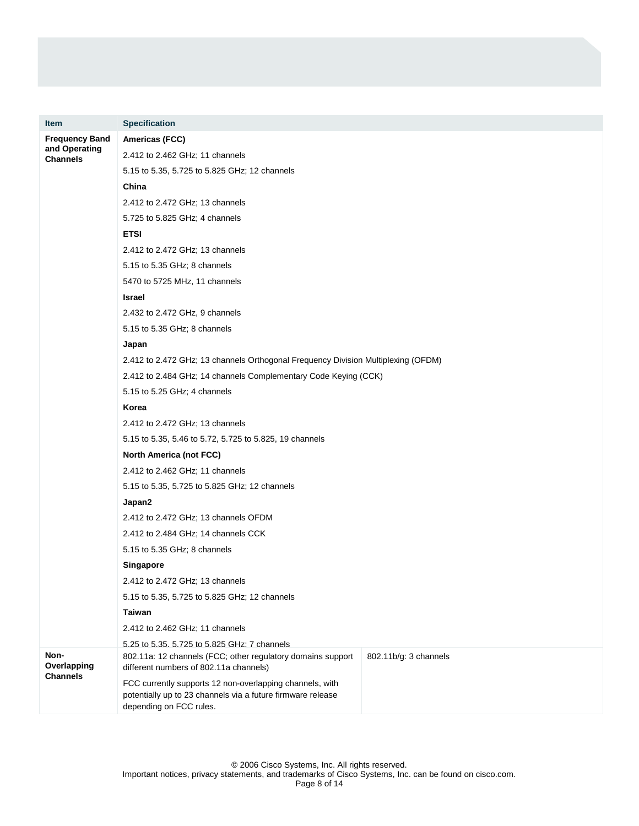| <b>Item</b>                      | <b>Specification</b>                                                                                                                                  |                       |
|----------------------------------|-------------------------------------------------------------------------------------------------------------------------------------------------------|-----------------------|
| <b>Frequency Band</b>            | Americas (FCC)                                                                                                                                        |                       |
| and Operating<br><b>Channels</b> | 2.412 to 2.462 GHz; 11 channels                                                                                                                       |                       |
|                                  | 5.15 to 5.35, 5.725 to 5.825 GHz; 12 channels                                                                                                         |                       |
|                                  | China                                                                                                                                                 |                       |
|                                  | 2.412 to 2.472 GHz; 13 channels                                                                                                                       |                       |
|                                  | 5.725 to 5.825 GHz; 4 channels                                                                                                                        |                       |
|                                  | <b>ETSI</b>                                                                                                                                           |                       |
|                                  | 2.412 to 2.472 GHz; 13 channels                                                                                                                       |                       |
|                                  | 5.15 to 5.35 GHz; 8 channels                                                                                                                          |                       |
|                                  | 5470 to 5725 MHz, 11 channels                                                                                                                         |                       |
|                                  | Israel                                                                                                                                                |                       |
|                                  | 2.432 to 2.472 GHz, 9 channels                                                                                                                        |                       |
|                                  | 5.15 to 5.35 GHz; 8 channels                                                                                                                          |                       |
|                                  | Japan                                                                                                                                                 |                       |
|                                  | 2.412 to 2.472 GHz; 13 channels Orthogonal Frequency Division Multiplexing (OFDM)                                                                     |                       |
|                                  | 2.412 to 2.484 GHz; 14 channels Complementary Code Keying (CCK)                                                                                       |                       |
|                                  | 5.15 to 5.25 GHz; 4 channels                                                                                                                          |                       |
|                                  | Korea                                                                                                                                                 |                       |
|                                  | 2.412 to 2.472 GHz; 13 channels                                                                                                                       |                       |
|                                  | 5.15 to 5.35, 5.46 to 5.72, 5.725 to 5.825, 19 channels                                                                                               |                       |
|                                  | <b>North America (not FCC)</b>                                                                                                                        |                       |
|                                  | 2.412 to 2.462 GHz; 11 channels                                                                                                                       |                       |
|                                  | 5.15 to 5.35, 5.725 to 5.825 GHz; 12 channels                                                                                                         |                       |
|                                  | Japan2                                                                                                                                                |                       |
|                                  | 2.412 to 2.472 GHz; 13 channels OFDM                                                                                                                  |                       |
|                                  | 2.412 to 2.484 GHz; 14 channels CCK                                                                                                                   |                       |
|                                  | 5.15 to 5.35 GHz; 8 channels                                                                                                                          |                       |
|                                  | Singapore                                                                                                                                             |                       |
|                                  | 2.412 to 2.472 GHz; 13 channels                                                                                                                       |                       |
|                                  | 5.15 to 5.35, 5.725 to 5.825 GHz; 12 channels                                                                                                         |                       |
|                                  | <b>Taiwan</b>                                                                                                                                         |                       |
|                                  | 2.412 to 2.462 GHz; 11 channels                                                                                                                       |                       |
| Non-<br>Overlapping              | 5.25 to 5.35, 5.725 to 5.825 GHz; 7 channels<br>802.11a: 12 channels (FCC; other regulatory domains support<br>different numbers of 802.11a channels) | 802.11b/g: 3 channels |
| <b>Channels</b>                  | FCC currently supports 12 non-overlapping channels, with<br>potentially up to 23 channels via a future firmware release<br>depending on FCC rules.    |                       |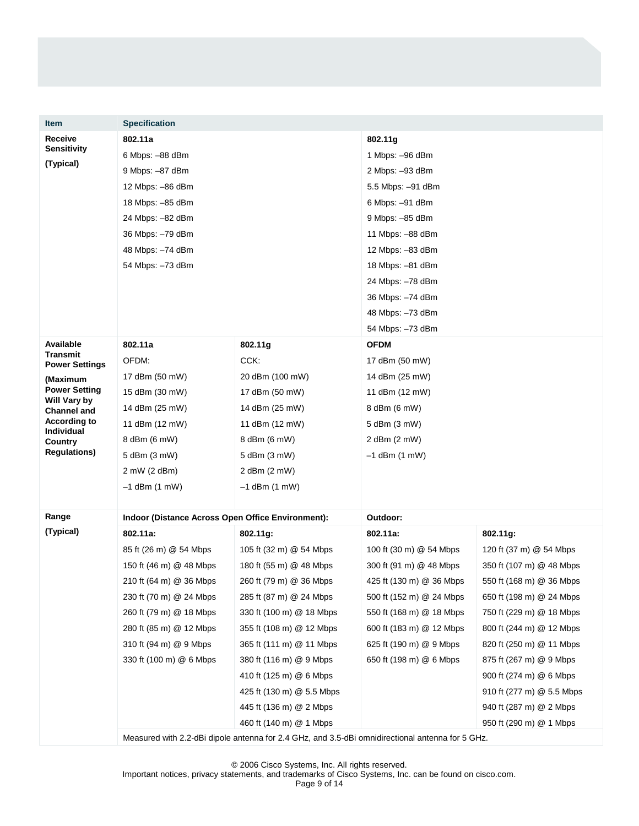| <b>Item</b>                          | <b>Specification</b>                              |                                                                                                  |                           |                           |
|--------------------------------------|---------------------------------------------------|--------------------------------------------------------------------------------------------------|---------------------------|---------------------------|
| Receive                              | 802.11a                                           |                                                                                                  | 802.11g                   |                           |
| <b>Sensitivity</b>                   | 6 Mbps: -88 dBm                                   |                                                                                                  | 1 Mbps: -96 dBm           |                           |
| (Typical)                            | 9 Mbps: -87 dBm                                   |                                                                                                  | 2 Mbps: -93 dBm           |                           |
|                                      | 12 Mbps: -86 dBm                                  |                                                                                                  | 5.5 Mbps: -91 dBm         |                           |
|                                      | 18 Mbps: -85 dBm                                  |                                                                                                  | 6 Mbps: -91 dBm           |                           |
|                                      | 24 Mbps: -82 dBm                                  |                                                                                                  | 9 Mbps: -85 dBm           |                           |
|                                      | 36 Mbps: -79 dBm                                  |                                                                                                  | 11 Mbps: -88 dBm          |                           |
|                                      | 48 Mbps: -74 dBm                                  |                                                                                                  | 12 Mbps: -83 dBm          |                           |
|                                      | 54 Mbps: -73 dBm                                  |                                                                                                  | 18 Mbps: -81 dBm          |                           |
|                                      |                                                   |                                                                                                  | 24 Mbps: -78 dBm          |                           |
|                                      |                                                   |                                                                                                  | 36 Mbps: -74 dBm          |                           |
|                                      |                                                   |                                                                                                  | 48 Mbps: -73 dBm          |                           |
|                                      |                                                   |                                                                                                  | 54 Mbps: -73 dBm          |                           |
| Available<br><b>Transmit</b>         | 802.11a                                           | 802.11g                                                                                          | <b>OFDM</b>               |                           |
| <b>Power Settings</b>                | OFDM:                                             | CCK:                                                                                             | 17 dBm (50 mW)            |                           |
| (Maximum                             | 17 dBm (50 mW)                                    | 20 dBm (100 mW)                                                                                  | 14 dBm (25 mW)            |                           |
| <b>Power Setting</b><br>Will Vary by | 15 dBm (30 mW)                                    | 17 dBm (50 mW)                                                                                   | 11 dBm (12 mW)            |                           |
| <b>Channel and</b>                   | 14 dBm (25 mW)                                    | 14 dBm (25 mW)                                                                                   | 8 dBm (6 mW)              |                           |
| <b>According to</b><br>Individual    | 11 dBm (12 mW)                                    | 11 dBm (12 mW)                                                                                   | 5 dBm (3 mW)              |                           |
| Country                              | 8 dBm (6 mW)                                      | 8 dBm (6 mW)                                                                                     | 2 dBm (2 mW)              |                           |
| <b>Regulations</b> )                 | 5 dBm (3 mW)                                      | 5 dBm (3 mW)                                                                                     | $-1$ dBm $(1 \text{ mW})$ |                           |
|                                      | 2 mW (2 dBm)                                      | 2 dBm $(2 \text{ mW})$                                                                           |                           |                           |
|                                      | $-1$ dBm $(1 \text{ mW})$                         | $-1$ dBm $(1$ mW)                                                                                |                           |                           |
| Range                                | Indoor (Distance Across Open Office Environment): |                                                                                                  | Outdoor:                  |                           |
| (Typical)                            | 802.11a:                                          | 802.11g:                                                                                         | 802.11a:                  | 802.11g:                  |
|                                      | 85 ft (26 m) @ 54 Mbps                            | 105 ft (32 m) @ 54 Mbps                                                                          | 100 ft (30 m) @ 54 Mbps   | 120 ft (37 m) @ 54 Mbps   |
|                                      | 150 ft (46 m) @ 48 Mbps                           | 180 ft (55 m) @ 48 Mbps                                                                          | 300 ft (91 m) @ 48 Mbps   | 350 ft (107 m) @ 48 Mbps  |
|                                      | 210 ft (64 m) @ 36 Mbps                           | 260 ft (79 m) @ 36 Mbps                                                                          | 425 ft (130 m) @ 36 Mbps  | 550 ft (168 m) @ 36 Mbps  |
|                                      | 230 ft (70 m) @ 24 Mbps                           | 285 ft (87 m) @ 24 Mbps                                                                          | 500 ft (152 m) @ 24 Mbps  | 650 ft (198 m) @ 24 Mbps  |
|                                      | 260 ft (79 m) @ 18 Mbps                           | 330 ft (100 m) @ 18 Mbps                                                                         | 550 ft (168 m) @ 18 Mbps  | 750 ft (229 m) @ 18 Mbps  |
|                                      | 280 ft (85 m) @ 12 Mbps                           | 355 ft (108 m) @ 12 Mbps                                                                         | 600 ft (183 m) @ 12 Mbps  | 800 ft (244 m) @ 12 Mbps  |
|                                      | 310 ft (94 m) @ 9 Mbps                            | 365 ft (111 m) @ 11 Mbps                                                                         | 625 ft (190 m) @ 9 Mbps   | 820 ft (250 m) @ 11 Mbps  |
|                                      | 330 ft (100 m) @ 6 Mbps                           | 380 ft (116 m) @ 9 Mbps                                                                          | 650 ft (198 m) @ 6 Mbps   | 875 ft (267 m) @ 9 Mbps   |
|                                      |                                                   | 410 ft (125 m) @ 6 Mbps                                                                          |                           | 900 ft (274 m) @ 6 Mbps   |
|                                      |                                                   | 425 ft (130 m) @ 5.5 Mbps                                                                        |                           | 910 ft (277 m) @ 5.5 Mbps |
|                                      |                                                   | 445 ft (136 m) @ 2 Mbps                                                                          |                           | 940 ft (287 m) @ 2 Mbps   |
|                                      |                                                   | 460 ft (140 m) @ 1 Mbps                                                                          |                           | 950 ft (290 m) @ 1 Mbps   |
|                                      |                                                   | Measured with 2.2-dBi dipole antenna for 2.4 GHz, and 3.5-dBi omnidirectional antenna for 5 GHz. |                           |                           |

© 2006 Cisco Systems, Inc. All rights reserved.

Important notices, privacy statements, and trademarks of Cisco Systems, Inc. can be found on cisco.com.

Page 9 of 14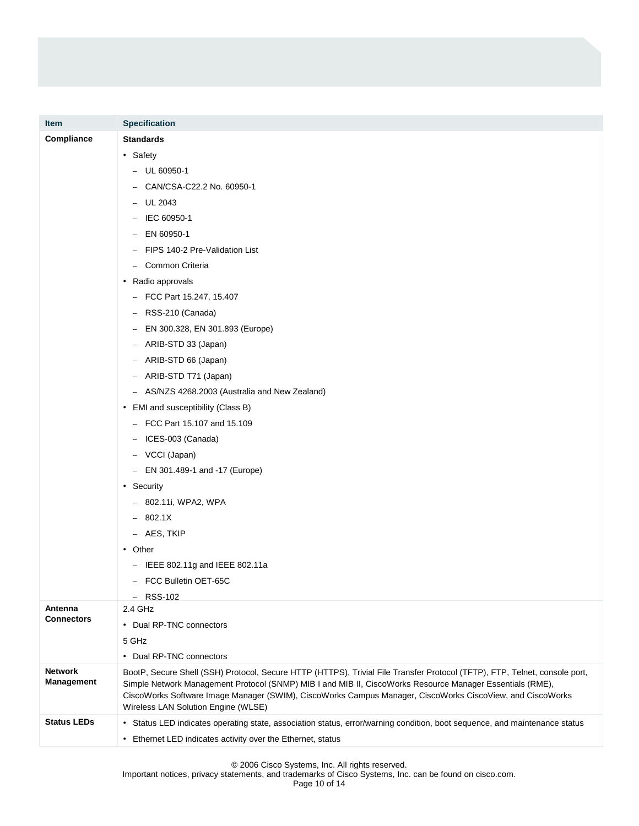| <b>Item</b>                         | <b>Specification</b>                                                                                                                                                                                                                                                                                                                                                                        |  |
|-------------------------------------|---------------------------------------------------------------------------------------------------------------------------------------------------------------------------------------------------------------------------------------------------------------------------------------------------------------------------------------------------------------------------------------------|--|
| Compliance                          | <b>Standards</b>                                                                                                                                                                                                                                                                                                                                                                            |  |
|                                     | • Safety                                                                                                                                                                                                                                                                                                                                                                                    |  |
|                                     | $-$ UL 60950-1                                                                                                                                                                                                                                                                                                                                                                              |  |
|                                     | CAN/CSA-C22.2 No. 60950-1                                                                                                                                                                                                                                                                                                                                                                   |  |
|                                     | UL 2043<br>$-$                                                                                                                                                                                                                                                                                                                                                                              |  |
|                                     | IEC 60950-1                                                                                                                                                                                                                                                                                                                                                                                 |  |
|                                     | EN 60950-1<br>$\overline{\phantom{0}}$                                                                                                                                                                                                                                                                                                                                                      |  |
|                                     | FIPS 140-2 Pre-Validation List                                                                                                                                                                                                                                                                                                                                                              |  |
|                                     | Common Criteria<br>$\overline{\phantom{0}}$                                                                                                                                                                                                                                                                                                                                                 |  |
|                                     | • Radio approvals                                                                                                                                                                                                                                                                                                                                                                           |  |
|                                     | $-$ FCC Part 15.247, 15.407                                                                                                                                                                                                                                                                                                                                                                 |  |
|                                     | $-$ RSS-210 (Canada)                                                                                                                                                                                                                                                                                                                                                                        |  |
|                                     | EN 300.328, EN 301.893 (Europe)                                                                                                                                                                                                                                                                                                                                                             |  |
|                                     | ARIB-STD 33 (Japan)<br>$-$                                                                                                                                                                                                                                                                                                                                                                  |  |
|                                     | ARIB-STD 66 (Japan)<br>$\overline{\phantom{m}}$                                                                                                                                                                                                                                                                                                                                             |  |
|                                     | ARIB-STD T71 (Japan)<br>$\overline{\phantom{m}}$                                                                                                                                                                                                                                                                                                                                            |  |
|                                     | AS/NZS 4268.2003 (Australia and New Zealand)<br>$\overline{\phantom{0}}$                                                                                                                                                                                                                                                                                                                    |  |
|                                     | • EMI and susceptibility (Class B)                                                                                                                                                                                                                                                                                                                                                          |  |
|                                     | - FCC Part 15.107 and 15.109                                                                                                                                                                                                                                                                                                                                                                |  |
|                                     | $-$ ICES-003 (Canada)                                                                                                                                                                                                                                                                                                                                                                       |  |
|                                     | - VCCI (Japan)                                                                                                                                                                                                                                                                                                                                                                              |  |
|                                     | - EN 301.489-1 and -17 (Europe)                                                                                                                                                                                                                                                                                                                                                             |  |
|                                     | • Security                                                                                                                                                                                                                                                                                                                                                                                  |  |
|                                     | - 802.11i, WPA2, WPA                                                                                                                                                                                                                                                                                                                                                                        |  |
|                                     | $-802.1X$                                                                                                                                                                                                                                                                                                                                                                                   |  |
|                                     | - AES, TKIP                                                                                                                                                                                                                                                                                                                                                                                 |  |
|                                     | • Other                                                                                                                                                                                                                                                                                                                                                                                     |  |
|                                     | $-$ IEEE 802.11g and IEEE 802.11a                                                                                                                                                                                                                                                                                                                                                           |  |
|                                     | - FCC Bulletin OET-65C                                                                                                                                                                                                                                                                                                                                                                      |  |
|                                     | $-$ RSS-102                                                                                                                                                                                                                                                                                                                                                                                 |  |
| Antenna<br><b>Connectors</b>        | 2.4 GHz                                                                                                                                                                                                                                                                                                                                                                                     |  |
|                                     | • Dual RP-TNC connectors                                                                                                                                                                                                                                                                                                                                                                    |  |
|                                     | 5 GHz                                                                                                                                                                                                                                                                                                                                                                                       |  |
|                                     | • Dual RP-TNC connectors                                                                                                                                                                                                                                                                                                                                                                    |  |
| <b>Network</b><br><b>Management</b> | BootP, Secure Shell (SSH) Protocol, Secure HTTP (HTTPS), Trivial File Transfer Protocol (TFTP), FTP, Telnet, console port,<br>Simple Network Management Protocol (SNMP) MIB I and MIB II, CiscoWorks Resource Manager Essentials (RME),<br>CiscoWorks Software Image Manager (SWIM), CiscoWorks Campus Manager, CiscoWorks CiscoView, and CiscoWorks<br>Wireless LAN Solution Engine (WLSE) |  |
| <b>Status LEDs</b>                  | • Status LED indicates operating state, association status, error/warning condition, boot sequence, and maintenance status                                                                                                                                                                                                                                                                  |  |
|                                     | • Ethernet LED indicates activity over the Ethernet, status                                                                                                                                                                                                                                                                                                                                 |  |

© 2006 Cisco Systems, Inc. All rights reserved.

Important notices, privacy statements, and trademarks of Cisco Systems, Inc. can be found on cisco.com.

Page 10 of 14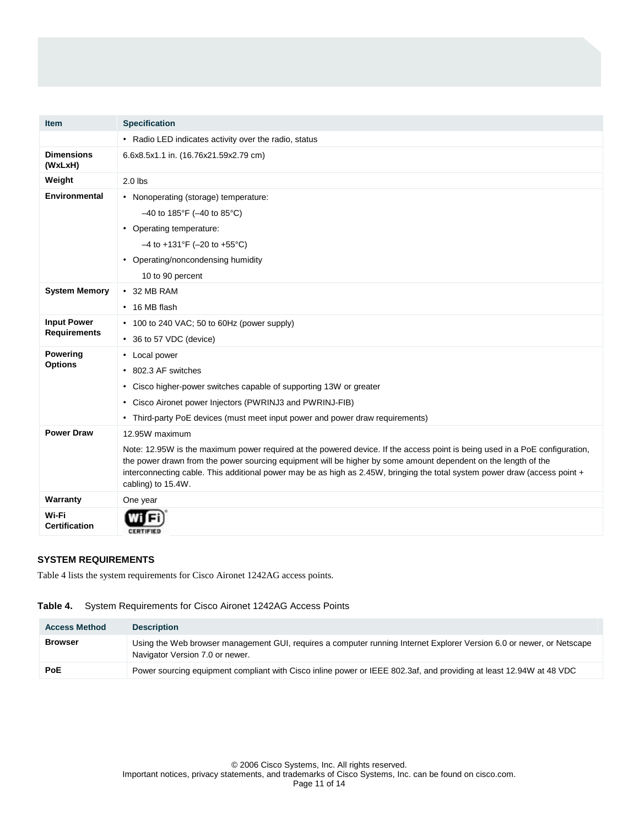| <b>Item</b>                   | <b>Specification</b>                                                                                                                                                                                                                                                                                                                                                                              |
|-------------------------------|---------------------------------------------------------------------------------------------------------------------------------------------------------------------------------------------------------------------------------------------------------------------------------------------------------------------------------------------------------------------------------------------------|
|                               | • Radio LED indicates activity over the radio, status                                                                                                                                                                                                                                                                                                                                             |
| <b>Dimensions</b><br>(WxLxH)  | 6.6x8.5x1.1 in. (16.76x21.59x2.79 cm)                                                                                                                                                                                                                                                                                                                                                             |
| Weight                        | $2.0$ lbs                                                                                                                                                                                                                                                                                                                                                                                         |
| <b>Environmental</b>          | • Nonoperating (storage) temperature:                                                                                                                                                                                                                                                                                                                                                             |
|                               | $-40$ to 185°F ( $-40$ to 85°C)                                                                                                                                                                                                                                                                                                                                                                   |
|                               | • Operating temperature:                                                                                                                                                                                                                                                                                                                                                                          |
|                               | $-4$ to +131°F (-20 to +55°C)                                                                                                                                                                                                                                                                                                                                                                     |
|                               | • Operating/noncondensing humidity                                                                                                                                                                                                                                                                                                                                                                |
|                               | 10 to 90 percent                                                                                                                                                                                                                                                                                                                                                                                  |
| <b>System Memory</b>          | $\cdot$ 32 MB RAM                                                                                                                                                                                                                                                                                                                                                                                 |
|                               | $\cdot$ 16 MB flash                                                                                                                                                                                                                                                                                                                                                                               |
| <b>Input Power</b>            | • 100 to 240 VAC; 50 to 60Hz (power supply)                                                                                                                                                                                                                                                                                                                                                       |
| <b>Requirements</b>           | • 36 to 57 VDC (device)                                                                                                                                                                                                                                                                                                                                                                           |
| Powering                      | • Local power                                                                                                                                                                                                                                                                                                                                                                                     |
| <b>Options</b>                | • 802.3 AF switches                                                                                                                                                                                                                                                                                                                                                                               |
|                               | • Cisco higher-power switches capable of supporting 13W or greater                                                                                                                                                                                                                                                                                                                                |
|                               | • Cisco Aironet power Injectors (PWRINJ3 and PWRINJ-FIB)                                                                                                                                                                                                                                                                                                                                          |
|                               | • Third-party PoE devices (must meet input power and power draw requirements)                                                                                                                                                                                                                                                                                                                     |
| <b>Power Draw</b>             | 12.95W maximum                                                                                                                                                                                                                                                                                                                                                                                    |
|                               | Note: 12.95W is the maximum power required at the powered device. If the access point is being used in a PoE configuration,<br>the power drawn from the power sourcing equipment will be higher by some amount dependent on the length of the<br>interconnecting cable. This additional power may be as high as 2.45W, bringing the total system power draw (access point +<br>cabling) to 15.4W. |
| Warranty                      | One year                                                                                                                                                                                                                                                                                                                                                                                          |
| Wi-Fi<br><b>Certification</b> | <b>CERTIFIED</b>                                                                                                                                                                                                                                                                                                                                                                                  |

# **SYSTEM REQUIREMENTS**

Table 4 lists the system requirements for Cisco Aironet 1242AG access points.

## **Table 4.** System Requirements for Cisco Aironet 1242AG Access Points

| <b>Access Method</b> | <b>Description</b>                                                                                                                                       |
|----------------------|----------------------------------------------------------------------------------------------------------------------------------------------------------|
| <b>Browser</b>       | Using the Web browser management GUI, requires a computer running Internet Explorer Version 6.0 or newer, or Netscape<br>Navigator Version 7.0 or newer. |
| <b>PoE</b>           | Power sourcing equipment compliant with Cisco inline power or IEEE 802.3af, and providing at least 12.94W at 48 VDC                                      |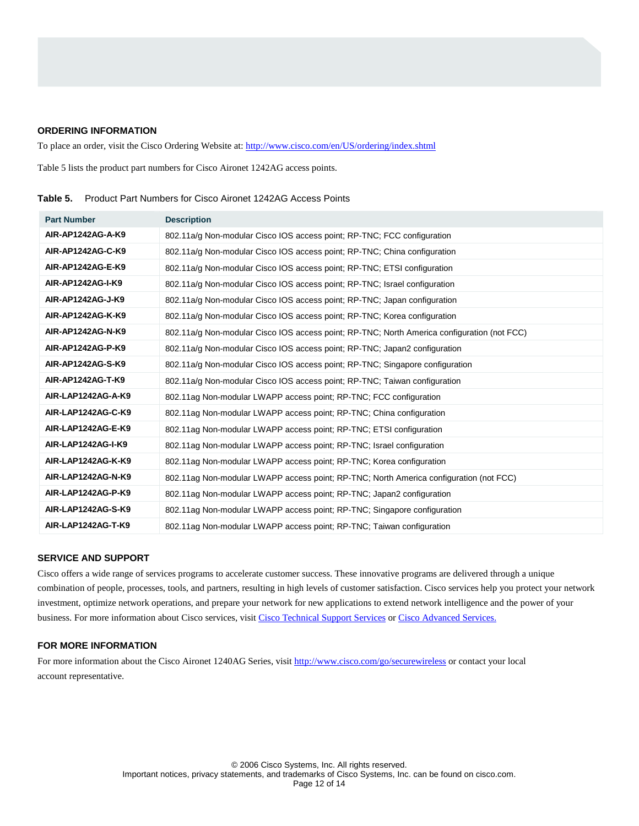#### **ORDERING INFORMATION**

To place an order, visit the Cisco Ordering Website at: http://www.cisco.com/en/US/ordering/index.shtml

Table 5 lists the product part numbers for Cisco Aironet 1242AG access points.

| <b>Part Number</b> | <b>Description</b>                                                                          |
|--------------------|---------------------------------------------------------------------------------------------|
| AIR-AP1242AG-A-K9  | 802.11a/g Non-modular Cisco IOS access point; RP-TNC; FCC configuration                     |
| AIR-AP1242AG-C-K9  | 802.11a/g Non-modular Cisco IOS access point; RP-TNC; China configuration                   |
| AIR-AP1242AG-E-K9  | 802.11a/g Non-modular Cisco IOS access point; RP-TNC; ETSI configuration                    |
| AIR-AP1242AG-I-K9  | 802.11a/g Non-modular Cisco IOS access point; RP-TNC; Israel configuration                  |
| AIR-AP1242AG-J-K9  | 802.11a/g Non-modular Cisco IOS access point; RP-TNC; Japan configuration                   |
| AIR-AP1242AG-K-K9  | 802.11a/g Non-modular Cisco IOS access point; RP-TNC; Korea configuration                   |
| AIR-AP1242AG-N-K9  | 802.11a/g Non-modular Cisco IOS access point; RP-TNC; North America configuration (not FCC) |
| AIR-AP1242AG-P-K9  | 802.11a/g Non-modular Cisco IOS access point; RP-TNC; Japan2 configuration                  |
| AIR-AP1242AG-S-K9  | 802.11a/g Non-modular Cisco IOS access point; RP-TNC; Singapore configuration               |
| AIR-AP1242AG-T-K9  | 802.11a/g Non-modular Cisco IOS access point: RP-TNC: Taiwan configuration                  |
| AIR-LAP1242AG-A-K9 | 802.11ag Non-modular LWAPP access point; RP-TNC; FCC configuration                          |
| AIR-LAP1242AG-C-K9 | 802.11ag Non-modular LWAPP access point; RP-TNC; China configuration                        |
| AIR-LAP1242AG-E-K9 | 802.11ag Non-modular LWAPP access point; RP-TNC; ETSI configuration                         |
| AIR-LAP1242AG-I-K9 | 802.11ag Non-modular LWAPP access point; RP-TNC; Israel configuration                       |
| AIR-LAP1242AG-K-K9 | 802.11ag Non-modular LWAPP access point; RP-TNC; Korea configuration                        |
| AIR-LAP1242AG-N-K9 | 802.11ag Non-modular LWAPP access point; RP-TNC; North America configuration (not FCC)      |
| AIR-LAP1242AG-P-K9 | 802.11ag Non-modular LWAPP access point; RP-TNC; Japan2 configuration                       |
| AIR-LAP1242AG-S-K9 | 802.11ag Non-modular LWAPP access point; RP-TNC; Singapore configuration                    |
| AIR-LAP1242AG-T-K9 | 802.11ag Non-modular LWAPP access point; RP-TNC; Taiwan configuration                       |

**Table 5.** Product Part Numbers for Cisco Aironet 1242AG Access Points

## **SERVICE AND SUPPORT**

Cisco offers a wide range of services programs to accelerate customer success. These innovative programs are delivered through a unique combination of people, processes, tools, and partners, resulting in high levels of customer satisfaction. Cisco services help you protect your network investment, optimize network operations, and prepare your network for new applications to extend network intelligence and the power of your business. For more information about Cisco services, visit [Cisco Technical Support Services](http://www.cisco.com/en/US/products/svcs/ps3034/serv_category_home.html) or [Cisco Advanced Services.](http://www.cisco.com/en/US/products/svcs/ps11/services_segment_category_home.html)

# **FOR MORE INFORMATION**

For more information about the Cisco Aironet 1240AG Series, visit<http://www.cisco.com/go/securewireless>or contact your local account representative.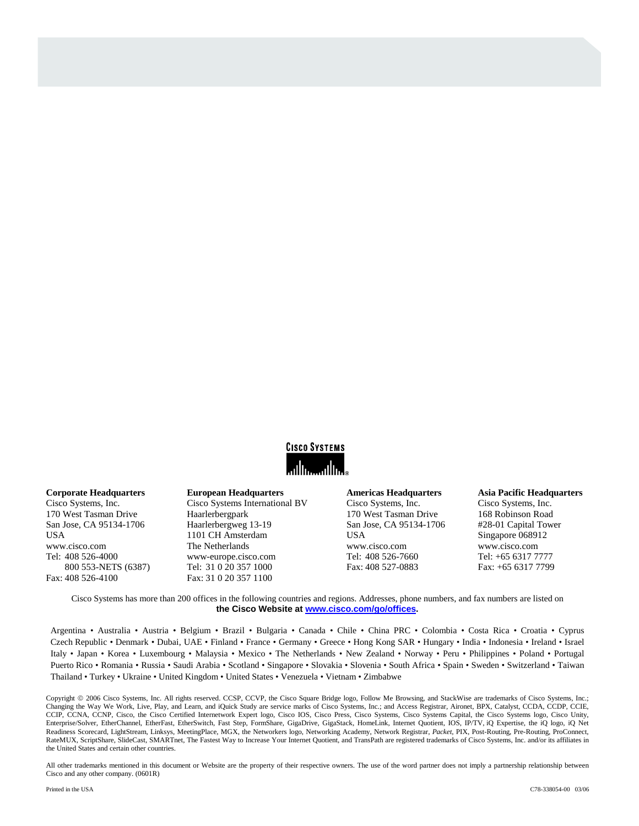

### **Corporate Headquarters**

Cisco Systems, Inc. 170 West Tasman Drive San Jose, CA 95134-1706 USA www.cisco.com Tel: 408 526-4000 800 553-NETS (6387) Fax: 408 526-4100

**European Headquarters**  Cisco Systems International BV Haarlerbergpark Haarlerbergweg 13-19 1101 CH Amsterdam The Netherlands www-europe.cisco.com Tel: 31 0 20 357 1000 Fax: 31 0 20 357 1100

#### **Americas Headquarters**

Cisco Systems, Inc. 170 West Tasman Drive San Jose, CA 95134-1706 USA www.cisco.com Tel: 408 526-7660 Fax: 408 527-0883

## **Asia Pacific Headquarters**

Cisco Systems, Inc. 168 Robinson Road #28-01 Capital Tower Singapore 068912 www.cisco.com Tel: +65 6317 7777 Fax: +65 6317 7799

Cisco Systems has more than 200 offices in the following countries and regions. Addresses, phone numbers, and fax numbers are listed on **the Cisco Website at [www.cisco.com/go/offices.](http://www.cisco.com/go/offices)** 

Argentina • Australia • Austria • Belgium • Brazil • Bulgaria • Canada • Chile • China PRC • Colombia • Costa Rica • Croatia • Cyprus Czech Republic • Denmark • Dubai, UAE • Finland • France • Germany • Greece • Hong Kong SAR • Hungary • India • Indonesia • Ireland • Israel Italy • Japan • Korea • Luxembourg • Malaysia • Mexico • The Netherlands • New Zealand • Norway • Peru • Philippines • Poland • Portugal Puerto Rico • Romania • Russia • Saudi Arabia • Scotland • Singapore • Slovakia • Slovenia • South Africa • Spain • Sweden • Switzerland • Taiwan Thailand • Turkey • Ukraine • United Kingdom • United States • Venezuela • Vietnam • Zimbabwe

Copyright 2006 Cisco Systems, Inc. All rights reserved. CCSP, CCVP, the Cisco Square Bridge logo, Follow Me Browsing, and StackWise are trademarks of Cisco Systems, Inc.; Changing the Way We Work, Live, Play, and Learn, and iQuick Study are service marks of Cisco Systems, Inc.; and Access Registrar, Aironet, BPX, Catalyst, CCDA, CCDP, CCIE, CCIP, CCNA, CCNP, Cisco, the Cisco Certified Internetwork Expert logo, Cisco IOS, Cisco Press, Cisco Systems, Cisco Systems Capital, the Cisco Systems logo, Cisco Unity, Enterprise/Solver, EtherChannel, EtherFast, EtherSwitch, Fast Step, FormShare, GigaDrive, GigaStack, HomeLink, Internet Quotient, IOS, IP/TV, iQ Expertise, the iQ logo, iQ Net Readiness Scorecard, LightStream, Linksys, MeetingPlace, MGX, the Networkers logo, Networking Academy, Network Registrar, *Packet*, PIX, Post-Routing, Pre-Routing, ProConnect, RateMUX, ScriptShare, SlideCast, SMARTnet, The Fastest Way to Increase Your Internet Quotient, and TransPath are registered trademarks of Cisco Systems, Inc. and/or its affiliates in the United States and certain other countries.

All other trademarks mentioned in this document or Website are the property of their respective owners. The use of the word partner does not imply a partnership relationship between any.  $(0601R)$ Cisco and any other company. (0601R)